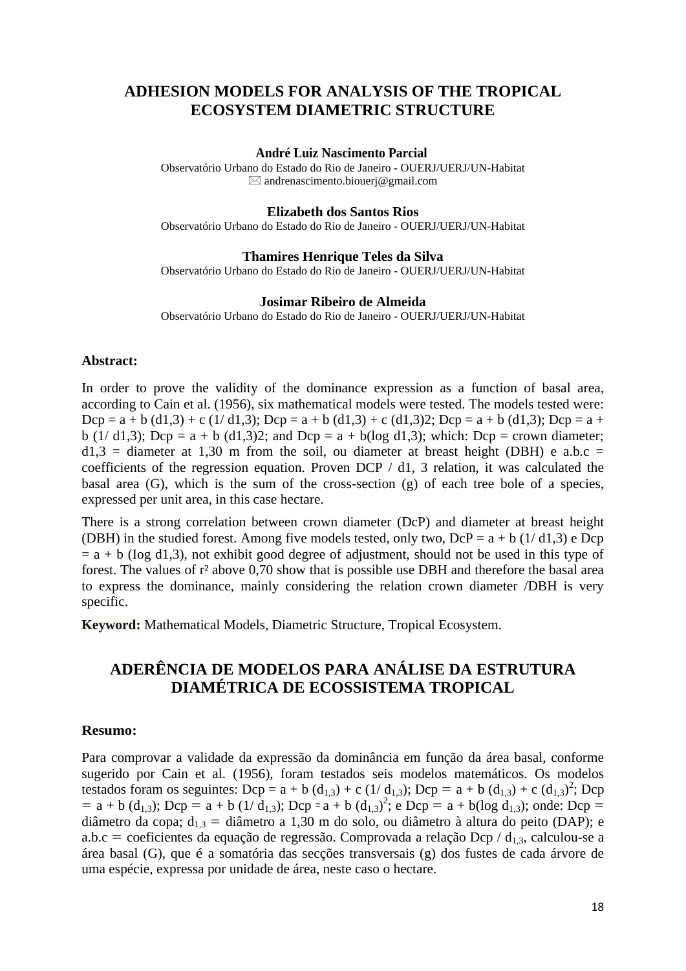## **ADHESION MODELS FOR ANALYSIS OF THE TROPICAL ECOSYSTEM DIAMETRIC STRUCTURE**

### **André Luiz Nascimento Parcial**

Observatório Urbano do Estado do Rio de Janeiro - OUERJ/UERJ/UN-Habitat  $\boxtimes$  andrenascimento.biouerj@gmail.com

### **Elizabeth dos Santos Rios**

Observatório Urbano do Estado do Rio de Janeiro - OUERJ/UERJ/UN-Habitat

### **Thamires Henrique Teles da Silva**

Observatório Urbano do Estado do Rio de Janeiro - OUERJ/UERJ/UN-Habitat

### **Josimar Ribeiro de Almeida**

Observatório Urbano do Estado do Rio de Janeiro - OUERJ/UERJ/UN-Habitat

## **Abstract:**

In order to prove the validity of the dominance expression as a function of basal area, according to Cain et al. (1956), six mathematical models were tested. The models tested were:  $Dcp = a + b$  (d1,3) + c (1/ d1,3);  $Dcp = a + b$  (d1,3) + c (d1,3)2;  $Dcp = a + b$  (d1,3);  $Dcp = a +$ b (1/ d1,3); Dcp = a + b (d1,3)2; and Dcp = a + b(log d1,3); which: Dcp = crown diameter;  $d1,3$  = diameter at 1,30 m from the soil, ou diameter at breast height (DBH) e a.b.c = coefficients of the regression equation. Proven DCP / d1, 3 relation, it was calculated the basal area (G), which is the sum of the cross-section (g) of each tree bole of a species, expressed per unit area, in this case hectare.

There is a strong correlation between crown diameter (DcP) and diameter at breast height (DBH) in the studied forest. Among five models tested, only two,  $DcP = a + b (1/d1.3) e Dcp$  $=$  a + b (log d1,3), not exhibit good degree of adjustment, should not be used in this type of forest. The values of r² above 0,70 show that is possible use DBH and therefore the basal area to express the dominance, mainly considering the relation crown diameter /DBH is very specific.

**Keyword:** Mathematical Models, Diametric Structure, Tropical Ecosystem.

# **ADERÊNCIA DE MODELOS PARA ANÁLISE DA ESTRUTURA DIAMÉTRICA DE ECOSSISTEMA TROPICAL**

### **Resumo:**

Para comprovar a validade da expressão da dominância em função da área basal, conforme sugerido por Cain et al. (1956), foram testados seis modelos matemáticos. Os modelos testados foram os seguintes: Dcp = a + b (d<sub>1,3</sub>) + c (1/ d<sub>1,3</sub>); Dcp = a + b (d<sub>1,3</sub>) + c (d<sub>1,3</sub>)<sup>2</sup>; Dcp  $=$  a + b (d<sub>1,3</sub>); Dcp = a + b (1/d<sub>1,3</sub>); Dcp = a + b (d<sub>1,3</sub>)<sup>2</sup>; e Dcp = a + b(log d<sub>1,3</sub>); onde: Dcp = diâmetro da copa;  $d_{13}$  = diâmetro a 1,30 m do solo, ou diâmetro à altura do peito (DAP); e a.b.c = coeficientes da equação de regressão. Comprovada a relação Dcp /  $d_{1,3}$ , calculou-se a área basal (G), que é a somatória das secções transversais (g) dos fustes de cada árvore de uma espécie, expressa por unidade de área, neste caso o hectare.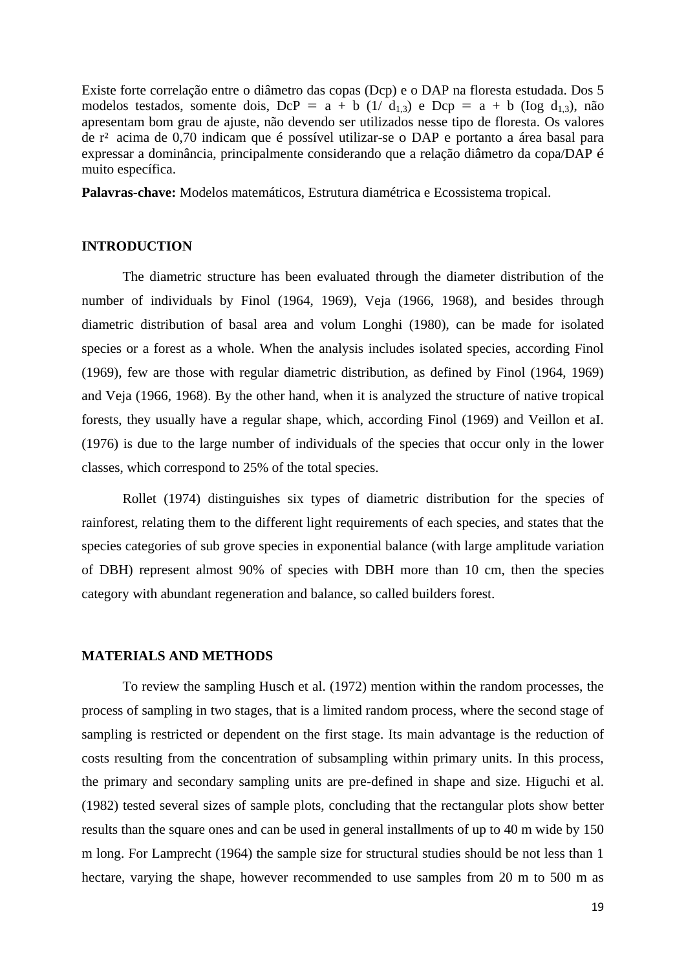Existe forte correlação entre o diâmetro das copas (Dcp) e o DAP na floresta estudada. Dos 5 modelos testados, somente dois, DcP = a + b (1/ d<sub>1,3</sub>) e Dcp = a + b (Iog d<sub>1,3</sub>), não apresentam bom grau de ajuste, não devendo ser utilizados nesse tipo de floresta. Os valores de r² acima de 0,70 indicam que é possível utilizar-se o DAP e portanto a área basal para expressar a dominância, principalmente considerando que a relação diâmetro da copa/DAP é muito específica.

**Palavras-chave:** Modelos matemáticos, Estrutura diamétrica e Ecossistema tropical.

## **INTRODUCTION**

The diametric structure has been evaluated through the diameter distribution of the number of individuals by Finol (1964, 1969), Veja (1966, 1968), and besides through diametric distribution of basal area and volum Longhi (1980), can be made for isolated species or a forest as a whole. When the analysis includes isolated species, according Finol (1969), few are those with regular diametric distribution, as defined by Finol (1964, 1969) and Veja (1966, 1968). By the other hand, when it is analyzed the structure of native tropical forests, they usually have a regular shape, which, according Finol (1969) and Veillon et aI. (1976) is due to the large number of individuals of the species that occur only in the lower classes, which correspond to 25% of the total species.

Rollet (1974) distinguishes six types of diametric distribution for the species of rainforest, relating them to the different light requirements of each species, and states that the species categories of sub grove species in exponential balance (with large amplitude variation of DBH) represent almost 90% of species with DBH more than 10 cm, then the species category with abundant regeneration and balance, so called builders forest.

### **MATERIALS AND METHODS**

To review the sampling Husch et al. (1972) mention within the random processes, the process of sampling in two stages, that is a limited random process, where the second stage of sampling is restricted or dependent on the first stage. Its main advantage is the reduction of costs resulting from the concentration of subsampling within primary units. In this process, the primary and secondary sampling units are pre-defined in shape and size. Higuchi et al. (1982) tested several sizes of sample plots, concluding that the rectangular plots show better results than the square ones and can be used in general installments of up to 40 m wide by 150 m long. For Lamprecht (1964) the sample size for structural studies should be not less than 1 hectare, varying the shape, however recommended to use samples from 20 m to 500 m as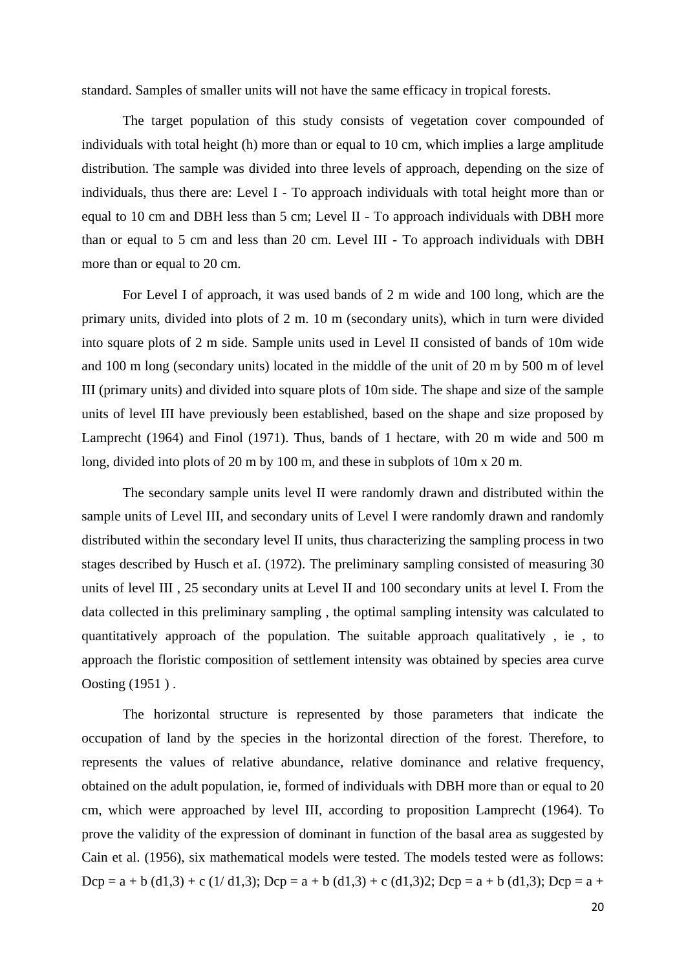standard. Samples of smaller units will not have the same efficacy in tropical forests.

The target population of this study consists of vegetation cover compounded of individuals with total height (h) more than or equal to 10 cm, which implies a large amplitude distribution. The sample was divided into three levels of approach, depending on the size of individuals, thus there are: Level I - To approach individuals with total height more than or equal to 10 cm and DBH less than 5 cm; Level II - To approach individuals with DBH more than or equal to 5 cm and less than 20 cm. Level III - To approach individuals with DBH more than or equal to 20 cm.

For Level I of approach, it was used bands of 2 m wide and 100 long, which are the primary units, divided into plots of 2 m. 10 m (secondary units), which in turn were divided into square plots of 2 m side. Sample units used in Level II consisted of bands of 10m wide and 100 m long (secondary units) located in the middle of the unit of 20 m by 500 m of level III (primary units) and divided into square plots of 10m side. The shape and size of the sample units of level III have previously been established, based on the shape and size proposed by Lamprecht (1964) and Finol (1971). Thus, bands of 1 hectare, with 20 m wide and 500 m long, divided into plots of 20 m by 100 m, and these in subplots of 10m x 20 m.

The secondary sample units level II were randomly drawn and distributed within the sample units of Level III, and secondary units of Level I were randomly drawn and randomly distributed within the secondary level II units, thus characterizing the sampling process in two stages described by Husch et aI. (1972). The preliminary sampling consisted of measuring 30 units of level III , 25 secondary units at Level II and 100 secondary units at level I. From the data collected in this preliminary sampling , the optimal sampling intensity was calculated to quantitatively approach of the population. The suitable approach qualitatively , ie , to approach the floristic composition of settlement intensity was obtained by species area curve Oosting (1951 ) .

The horizontal structure is represented by those parameters that indicate the occupation of land by the species in the horizontal direction of the forest. Therefore, to represents the values of relative abundance, relative dominance and relative frequency, obtained on the adult population, ie, formed of individuals with DBH more than or equal to 20 cm, which were approached by level III, according to proposition Lamprecht (1964). To prove the validity of the expression of dominant in function of the basal area as suggested by Cain et al. (1956), six mathematical models were tested. The models tested were as follows: Dcp = a + b (d1,3) + c (1/ d1,3); Dcp = a + b (d1,3) + c (d1,3)2; Dcp = a + b (d1,3); Dcp = a +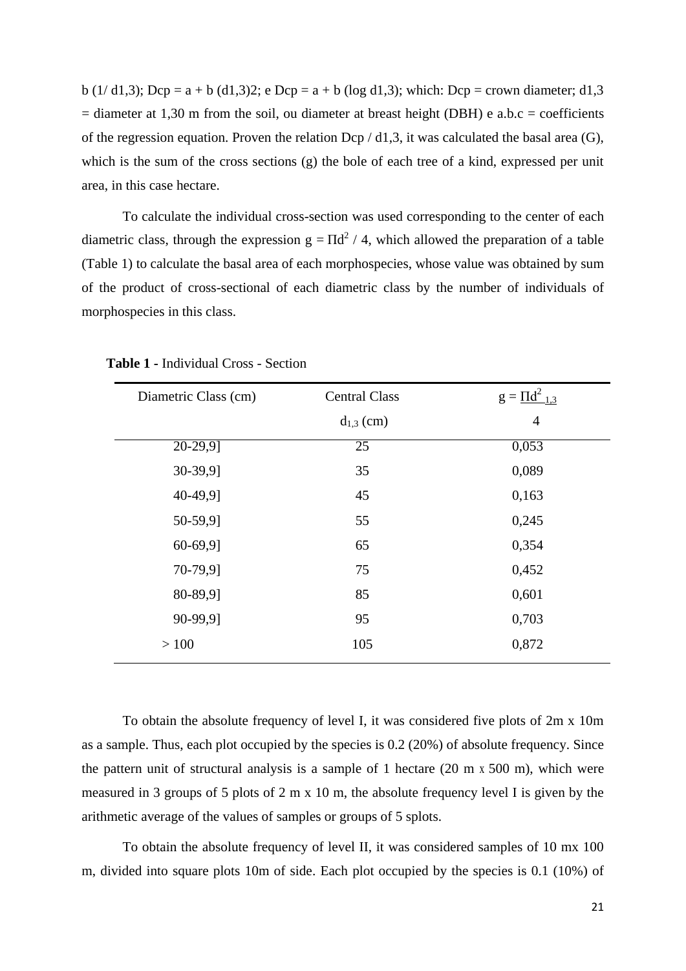b (1/ d1,3); Dcp = a + b (d1,3)2; e Dcp = a + b (log d1,3); which: Dcp = crown diameter; d1,3  $=$  diameter at 1,30 m from the soil, ou diameter at breast height (DBH) e a.b.c = coefficients of the regression equation. Proven the relation Dcp  $/$  d1,3, it was calculated the basal area (G), which is the sum of the cross sections (g) the bole of each tree of a kind, expressed per unit area, in this case hectare.

To calculate the individual cross-section was used corresponding to the center of each diametric class, through the expression  $g = \Pi d^2 / 4$ , which allowed the preparation of a table (Table 1) to calculate the basal area of each morphospecies, whose value was obtained by sum of the product of cross-sectional of each diametric class by the number of individuals of morphospecies in this class.

| Diametric Class (cm) | <b>Central Class</b> | $g = \Pi d^2_{1,3}$ |
|----------------------|----------------------|---------------------|
|                      | $d_{1,3}$ (cm)       | $\overline{4}$      |
| $20-29,9$            | 25                   | 0,053               |
| 30-39,91             | 35                   | 0,089               |
| 40-49,91             | 45                   | 0,163               |
| 50-59,91             | 55                   | 0,245               |
| 60-69,91             | 65                   | 0,354               |
| 70-79,91             | 75                   | 0,452               |
| 80-89,91             | 85                   | 0,601               |
| 90-99,91             | 95                   | 0,703               |
| >100                 | 105                  | 0,872               |

**Table 1 -** Individual Cross - Section

To obtain the absolute frequency of level I, it was considered five plots of 2m x 10m as a sample. Thus, each plot occupied by the species is 0.2 (20%) of absolute frequency. Since the pattern unit of structural analysis is a sample of 1 hectare (20 m x 500 m), which were measured in 3 groups of 5 plots of 2 m x 10 m, the absolute frequency level I is given by the arithmetic average of the values of samples or groups of 5 splots.

To obtain the absolute frequency of level II, it was considered samples of 10 mx 100 m, divided into square plots 10m of side. Each plot occupied by the species is 0.1 (10%) of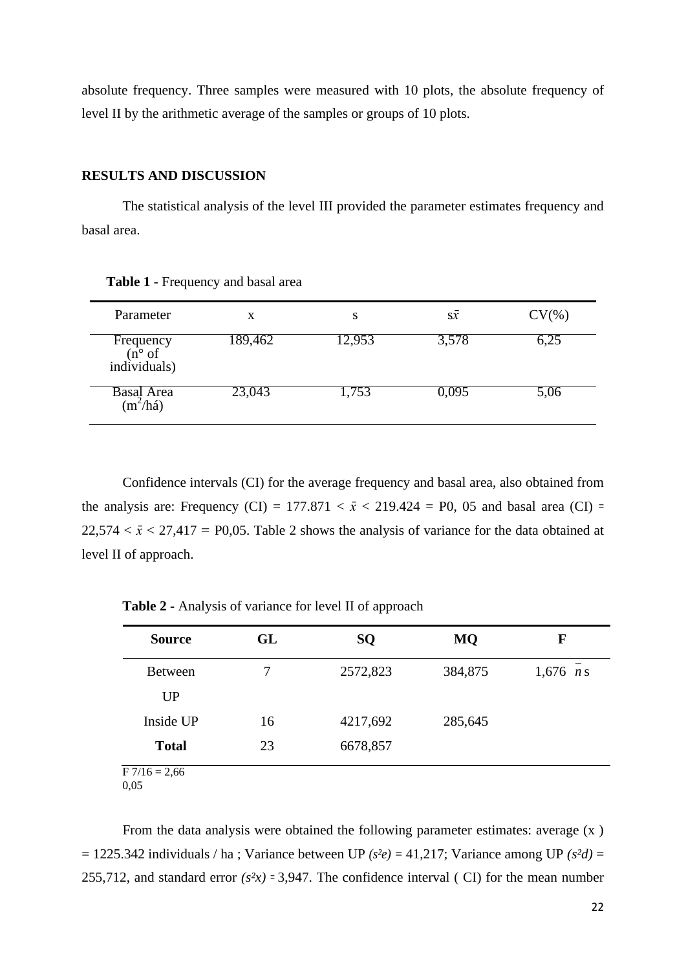absolute frequency. Three samples were measured with 10 plots, the absolute frequency of level II by the arithmetic average of the samples or groups of 10 plots.

## **RESULTS AND DISCUSSION**

The statistical analysis of the level III provided the parameter estimates frequency and basal area.

| Parameter                                             | X       | S      | S X   | $CV(\% )$ |
|-------------------------------------------------------|---------|--------|-------|-----------|
| Frequency<br>$(n^{\circ} \text{ of})$<br>individuals) | 189,462 | 12,953 | 3,578 | 6,25      |
| Basal Area<br>$\frac{3}{2}$ (m <sup>2</sup> /há)      | 23,043  | 1,753  | 0,095 | 5,06      |

**Table 1** - Frequency and basal area

Confidence intervals (CI) for the average frequency and basal area, also obtained from the analysis are: Frequency (CI) =  $177.871 < \bar{x} < 219.424$  = P0, 05 and basal area (CI) =  $22,574 < \bar{x} < 27,417 = P0,05$ . Table 2 shows the analysis of variance for the data obtained at level II of approach.

**Table 2 -** Analysis of variance for level II of approach

| <b>Source</b>   | GL | SQ       | <b>MQ</b> | F           |
|-----------------|----|----------|-----------|-------------|
| <b>Between</b>  | 7  | 2572,823 | 384,875   | 1,676 $n s$ |
| UP              |    |          |           |             |
| Inside UP       | 16 | 4217,692 | 285,645   |             |
| <b>Total</b>    | 23 | 6678,857 |           |             |
| $F 7/16 = 2,66$ |    |          |           |             |

0,05

From the data analysis were obtained the following parameter estimates: average (x ) = 1225.342 individuals / ha ; Variance between UP *(s²e) =* 41,217; Variance among UP *(s²d)* = 255,712, and standard error  $(s^2x)$  = 3,947. The confidence interval (CI) for the mean number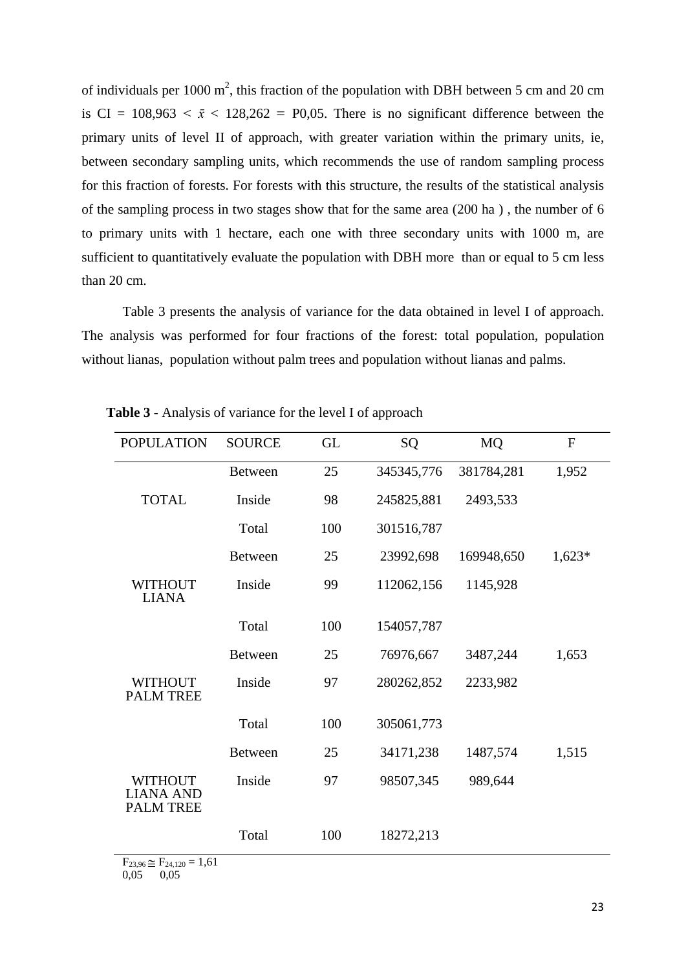of individuals per 1000  $m^2$ , this fraction of the population with DBH between 5 cm and 20 cm is CI =  $108,963 < \bar{x} < 128,262 = P0,05$ . There is no significant difference between the primary units of level II of approach, with greater variation within the primary units, ie, between secondary sampling units, which recommends the use of random sampling process for this fraction of forests. For forests with this structure, the results of the statistical analysis of the sampling process in two stages show that for the same area (200 ha ) , the number of 6 to primary units with 1 hectare, each one with three secondary units with 1000 m, are sufficient to quantitatively evaluate the population with DBH more than or equal to 5 cm less than 20 cm.

Table 3 presents the analysis of variance for the data obtained in level I of approach. The analysis was performed for four fractions of the forest: total population, population without lianas, population without palm trees and population without lianas and palms.

| <b>POPULATION</b>                                      | <b>SOURCE</b>  | <b>GL</b> | SQ         | <b>MQ</b>  | $\mathbf F$ |
|--------------------------------------------------------|----------------|-----------|------------|------------|-------------|
|                                                        | <b>Between</b> | 25        | 345345,776 | 381784,281 | 1,952       |
| <b>TOTAL</b>                                           | Inside         | 98        | 245825,881 | 2493,533   |             |
|                                                        | Total          | 100       | 301516,787 |            |             |
|                                                        | <b>Between</b> | 25        | 23992,698  | 169948,650 | $1,623*$    |
| WITHOUT<br><b>LIANA</b>                                | Inside         | 99        | 112062,156 | 1145,928   |             |
|                                                        | Total          | 100       | 154057,787 |            |             |
|                                                        | <b>Between</b> | 25        | 76976,667  | 3487,244   | 1,653       |
| <b>WITHOUT</b><br><b>PALM TREE</b>                     | Inside         | 97        | 280262,852 | 2233,982   |             |
|                                                        | Total          | 100       | 305061,773 |            |             |
|                                                        | <b>Between</b> | 25        | 34171,238  | 1487,574   | 1,515       |
| <b>WITHOUT</b><br><b>LIANA AND</b><br><b>PALM TREE</b> | Inside         | 97        | 98507,345  | 989,644    |             |
| $\Gamma$<br>$\mathbf{r}$<br>$1 \times 1$               | Total          | 100       | 18272,213  |            |             |

**Table 3 -** Analysis of variance for the level I of approach

 $F_{23,96} \cong F_{24,120} = 1,61$ 0,05 0,05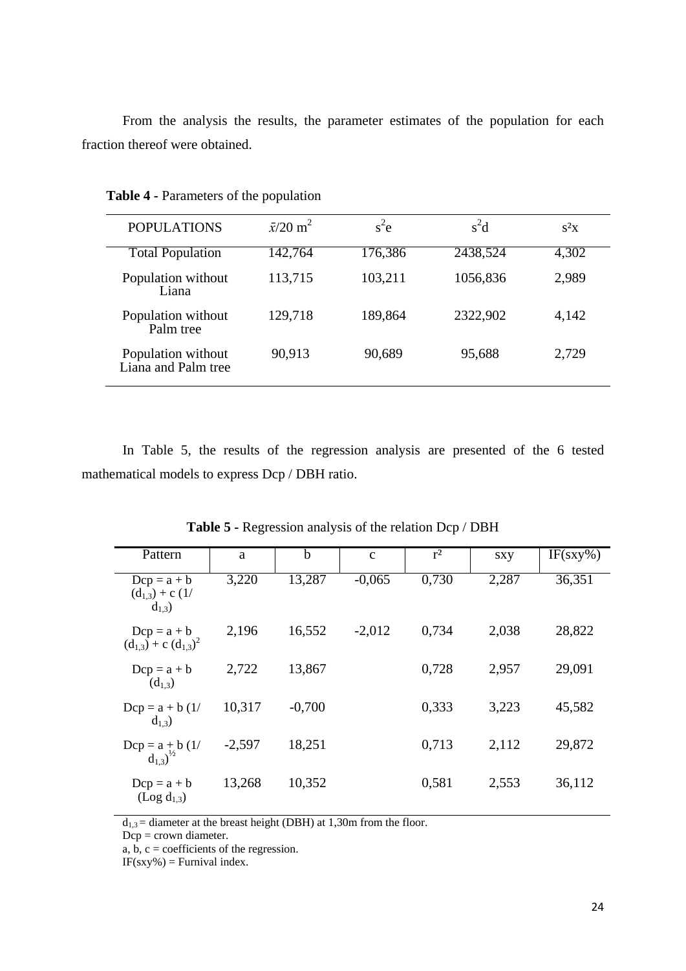From the analysis the results, the parameter estimates of the population for each fraction thereof were obtained.

| <b>POPULATIONS</b>                        | $\bar{x}/20 \text{ m}^2$ | $s^2$ e | $s^2d$   | $s^2x$ |
|-------------------------------------------|--------------------------|---------|----------|--------|
| <b>Total Population</b>                   | 142,764                  | 176,386 | 2438,524 | 4,302  |
| Population without<br>Liana               | 113,715                  | 103,211 | 1056,836 | 2,989  |
| Population without<br>Palm tree           | 129,718                  | 189,864 | 2322,902 | 4,142  |
| Population without<br>Liana and Palm tree | 90,913                   | 90,689  | 95,688   | 2,729  |

**Table 4 -** Parameters of the population

In Table 5, the results of the regression analysis are presented of the 6 tested mathematical models to express Dcp / DBH ratio.

| Pattern                                               | a        | b        | $\mathbf{C}$ | $r^2$ | sxy   | $IF(sxy\%)$ |
|-------------------------------------------------------|----------|----------|--------------|-------|-------|-------------|
| $Dcp = a + b$<br>$(d_{1,3}) + c$ (1/<br>$d_{1,3}$ )   | 3,220    | 13,287   | $-0,065$     | 0,730 | 2,287 | 36,351      |
| $Dcp = a + b$<br>$(d_{1,3}) + c (d_{1,3})^2$          | 2,196    | 16,552   | $-2,012$     | 0,734 | 2,038 | 28,822      |
| $Dcp = a + b$<br>$(d_{1,3})$                          | 2,722    | 13,867   |              | 0,728 | 2,957 | 29,091      |
| $Dcp = a + b(1)$<br>$d_{1,3}$ )                       | 10,317   | $-0,700$ |              | 0,333 | 3,223 | 45,582      |
| Dcp = $a + b$ (1/<br>d <sub>1.3</sub> ) <sup>/2</sup> | $-2,597$ | 18,251   |              | 0,713 | 2,112 | 29,872      |
| $Dcp = a + b$<br>$(Log d_{1,3})$                      | 13,268   | 10,352   |              | 0,581 | 2,553 | 36,112      |

**Table 5 -** Regression analysis of the relation Dcp / DBH

 $d_{1,3}$  = diameter at the breast height (DBH) at 1,30m from the floor.

Dcp = crown diameter.

a,  $\overrightarrow{b}$ ,  $\overrightarrow{c}$  = coefficients of the regression.

 $IF(sxy\%) = Furnival index.$